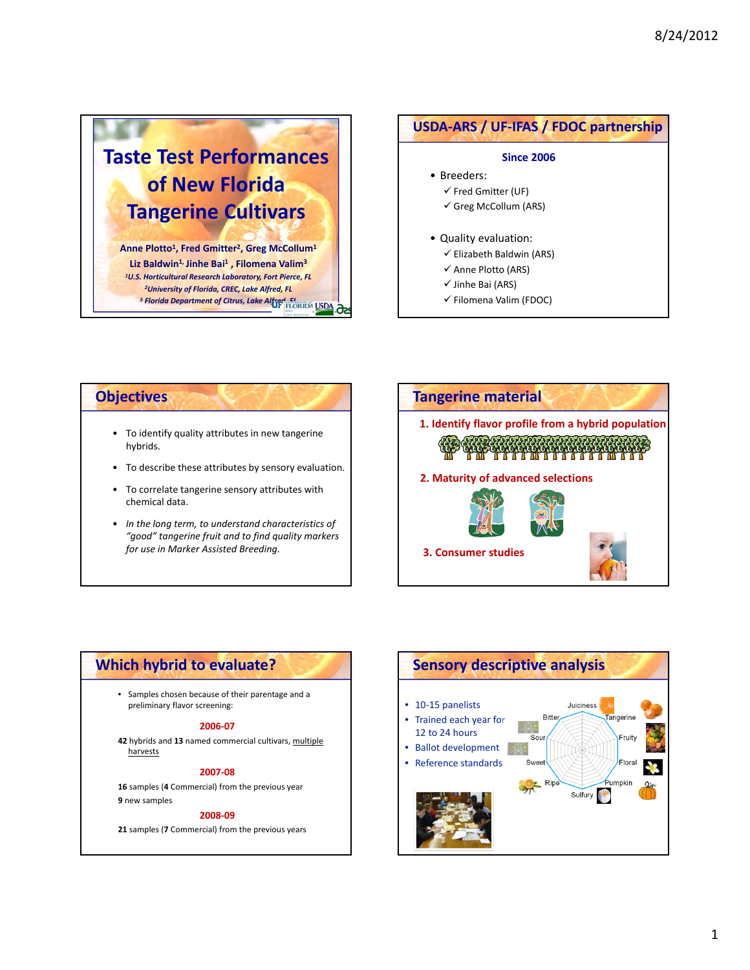# **Taste Test Performances of New Florida Tangerine Cultivars**

**Anne Plotto1, Fred Gmitter2, Greg McCollum1 Liz Baldwin1,Jinhe Bai1 , Filomena Valim3** *1U.S. Horticultural Research Laboratory, Fort Pierce, FL 2University of Florida, CREC, Lake Alfred, FL <sup>3</sup> Florida Department of Citrus, Lake Alfred, FL*

# • Breeders:  $\checkmark$  Fred Gmitter (UF) Greg McCollum (ARS) • Quality evaluation:  $\checkmark$  Elizabeth Baldwin (ARS)  $\checkmark$  Anne Plotto (ARS) **USDA‐ARS / UF‐IFAS / FDOC partnership Since 2006**

- $\checkmark$  Jinhe Bai (ARS)
- $\checkmark$  Filomena Valim (FDOC)

- To identify quality attributes in new tangerine hybrids.
- To describe these attributes by sensory evaluation.
- To correlate tangerine sensory attributes with chemical data.
- *In the long term, to understand characteristics of "good" tangerine fruit and to find quality markers for use in Marker Assisted Breeding.*



# **Which hybrid to evaluate?**

• Samples chosen because of their parentage and a preliminary flavor screening:

#### **2006‐07**

**42** hybrids and **13** named commercial cultivars, multiple harvests

#### **2007‐08**

**16** samples (**4** Commercial) from the previous year **9** new samples

#### **2008‐09**

**21** samples (**7** Commercial) from the previous years

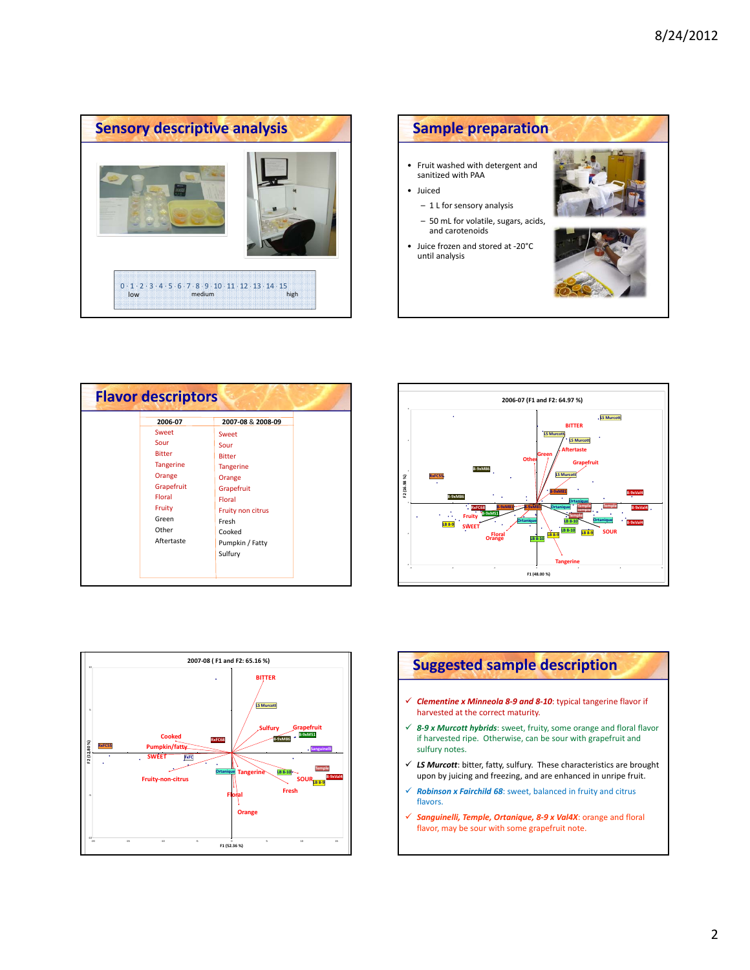



| <b>Flavor descriptors</b> |                                                                                                                             |                                                                                                                                                   |  |
|---------------------------|-----------------------------------------------------------------------------------------------------------------------------|---------------------------------------------------------------------------------------------------------------------------------------------------|--|
|                           | 2006-07<br>Sweet<br>Sour<br><b>Bitter</b><br><b>Tangerine</b><br>Orange<br>Grapefruit<br>Floral<br>Fruity<br>Green<br>Other | 2007-08 & 2008-09<br>Sweet<br>Sour<br><b>Bitter</b><br><b>Tangerine</b><br>Orange<br>Grapefruit<br>Floral<br>Fruity non citrus<br>Fresh<br>Cooked |  |
|                           | Aftertaste                                                                                                                  | Pumpkin / Fatty<br>Sulfury                                                                                                                        |  |







- *Clementine x Minneola 8‐9 and 8‐10*: typical tangerine flavor if harvested at the correct maturity.
- *8‐9 x Murcott hybrids*: sweet, fruity, some orange and floral flavor if harvested ripe. Otherwise, can be sour with grapefruit and sulfury notes.
- *LS Murcott*: bitter, fatty, sulfury. These characteristics are brought upon by juicing and freezing, and are enhanced in unripe fruit.
- *Robinson x Fairchild 68*: sweet, balanced in fruity and citrus flavors.
- *Sanguinelli, Temple, Ortanique, 8‐9 x Val4X*: orange and floral flavor, may be sour with some grapefruit note.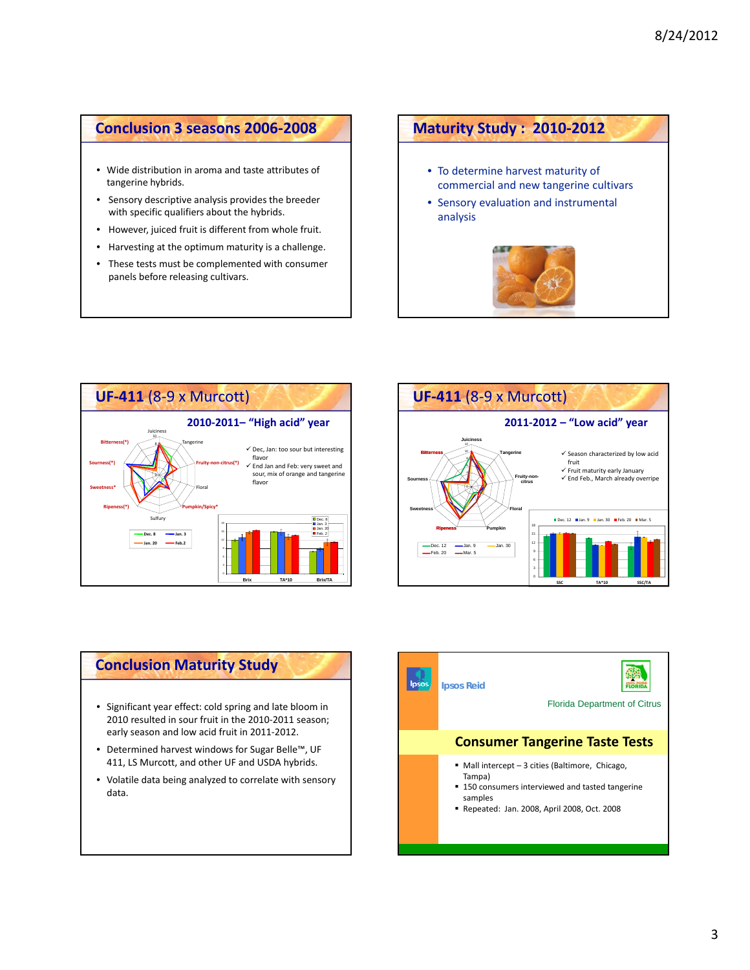# **Conclusion 3 seasons 2006‐2008**

- Wide distribution in aroma and taste attributes of tangerine hybrids.
- Sensory descriptive analysis provides the breeder with specific qualifiers about the hybrids.
- However, juiced fruit is different from whole fruit.
- Harvesting at the optimum maturity is a challenge.
- These tests must be complemented with consumer panels before releasing cultivars.

# **Maturity Study : 2010‐2012**

- To determine harvest maturity of commercial and new tangerine cultivars
- Sensory evaluation and instrumental analysis







### **Conclusion Maturity Study**

- Significant year effect: cold spring and late bloom in 2010 resulted in sour fruit in the 2010‐2011 season; early season and low acid fruit in 2011‐2012.
- Determined harvest windows for Sugar Belle™, UF 411, LS Murcott, and other UF and USDA hybrids.
- Volatile data being analyzed to correlate with sensory data.